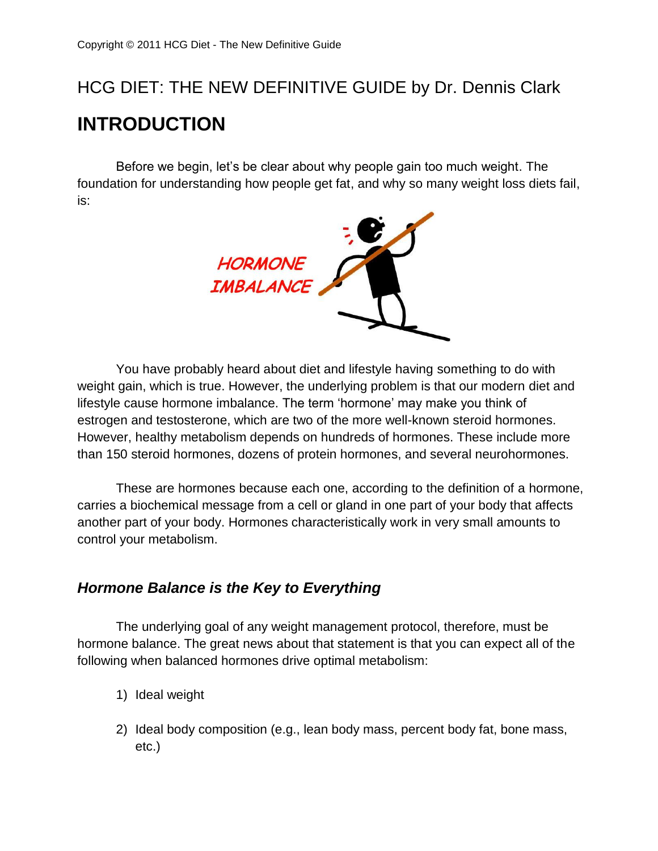# HCG DIET: THE NEW DEFINITIVE GUIDE by Dr. Dennis Clark **INTRODUCTION**

Before we begin, let's be clear about why people gain too much weight. The foundation for understanding how people get fat, and why so many weight loss diets fail, is:



You have probably heard about diet and lifestyle having something to do with weight gain, which is true. However, the underlying problem is that our modern diet and lifestyle cause hormone imbalance. The term 'hormone' may make you think of estrogen and testosterone, which are two of the more well-known steroid hormones. However, healthy metabolism depends on hundreds of hormones. These include more than 150 steroid hormones, dozens of protein hormones, and several neurohormones.

These are hormones because each one, according to the definition of a hormone, carries a biochemical message from a cell or gland in one part of your body that affects another part of your body. Hormones characteristically work in very small amounts to control your metabolism.

## *Hormone Balance is the Key to Everything*

The underlying goal of any weight management protocol, therefore, must be hormone balance. The great news about that statement is that you can expect all of the following when balanced hormones drive optimal metabolism:

- 1) Ideal weight
- 2) Ideal body composition (e.g., lean body mass, percent body fat, bone mass, etc.)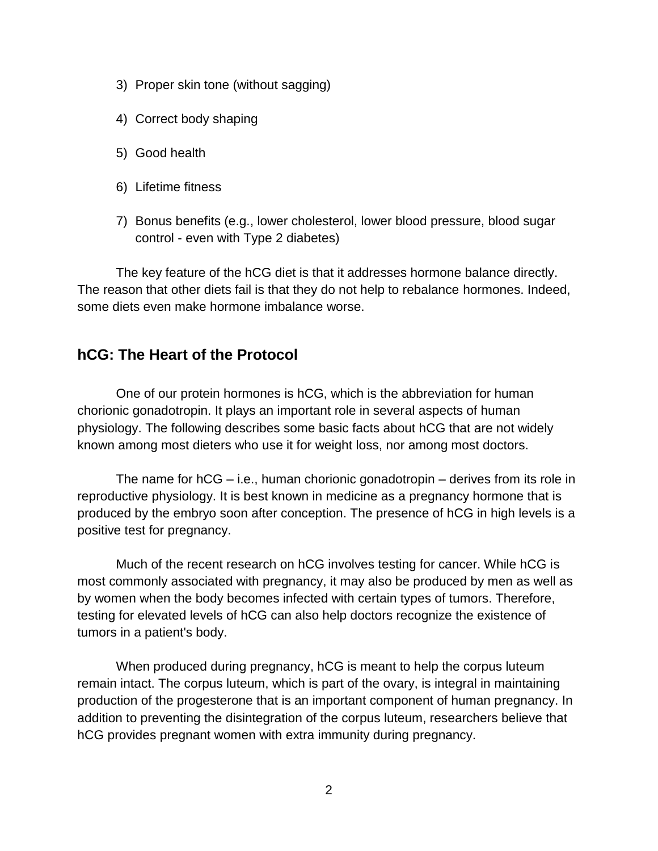- 3) Proper skin tone (without sagging)
- 4) Correct body shaping
- 5) Good health
- 6) Lifetime fitness
- 7) Bonus benefits (e.g., lower cholesterol, lower blood pressure, blood sugar control - even with Type 2 diabetes)

The key feature of the hCG diet is that it addresses hormone balance directly. The reason that other diets fail is that they do not help to rebalance hormones. Indeed, some diets even make hormone imbalance worse.

#### **hCG: The Heart of the Protocol**

One of our protein hormones is hCG, which is the abbreviation for human chorionic gonadotropin. It plays an important role in several aspects of human physiology. The following describes some basic facts about hCG that are not widely known among most dieters who use it for weight loss, nor among most doctors.

The name for hCG – i.e., human chorionic gonadotropin – derives from its role in reproductive physiology. It is best known in medicine as a pregnancy hormone that is produced by the embryo soon after conception. The presence of hCG in high levels is a positive test for pregnancy.

Much of the recent research on hCG involves testing for cancer. While hCG is most commonly associated with pregnancy, it may also be produced by men as well as by women when the body becomes infected with certain types of tumors. Therefore, testing for elevated levels of hCG can also help doctors recognize the existence of tumors in a patient's body.

When produced during pregnancy, hCG is meant to help the corpus luteum remain intact. The corpus luteum, which is part of the ovary, is integral in maintaining production of the progesterone that is an important component of human pregnancy. In addition to preventing the disintegration of the corpus luteum, researchers believe that hCG provides pregnant women with extra immunity during pregnancy.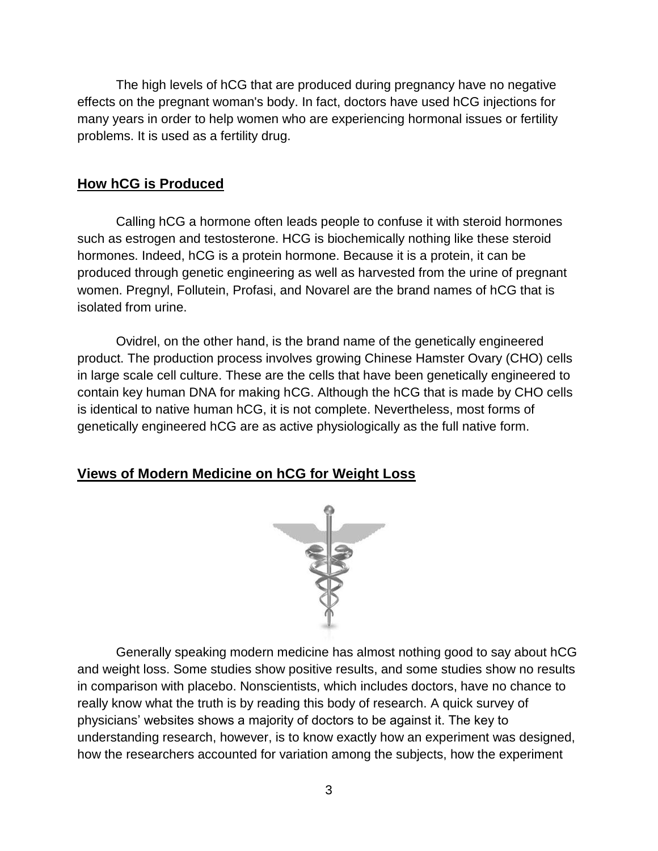The high levels of hCG that are produced during pregnancy have no negative effects on the pregnant woman's body. In fact, doctors have used hCG injections for many years in order to help women who are experiencing hormonal issues or fertility problems. It is used as a fertility drug.

#### **How hCG is Produced**

Calling hCG a hormone often leads people to confuse it with steroid hormones such as estrogen and testosterone. HCG is biochemically nothing like these steroid hormones. Indeed, hCG is a protein hormone. Because it is a protein, it can be produced through genetic engineering as well as harvested from the urine of pregnant women. Pregnyl, Follutein, Profasi, and Novarel are the brand names of hCG that is isolated from urine.

Ovidrel, on the other hand, is the brand name of the genetically engineered product. The production process involves growing Chinese Hamster Ovary (CHO) cells in large scale cell culture. These are the cells that have been genetically engineered to contain key human DNA for making hCG. Although the hCG that is made by CHO cells is identical to native human hCG, it is not complete. Nevertheless, most forms of genetically engineered hCG are as active physiologically as the full native form.

#### **Views of Modern Medicine on hCG for Weight Loss**



Generally speaking modern medicine has almost nothing good to say about hCG and weight loss. Some studies show positive results, and some studies show no results in comparison with placebo. Nonscientists, which includes doctors, have no chance to really know what the truth is by reading this body of research. A quick survey of physicians' websites shows a majority of doctors to be against it. The key to understanding research, however, is to know exactly how an experiment was designed, how the researchers accounted for variation among the subjects, how the experiment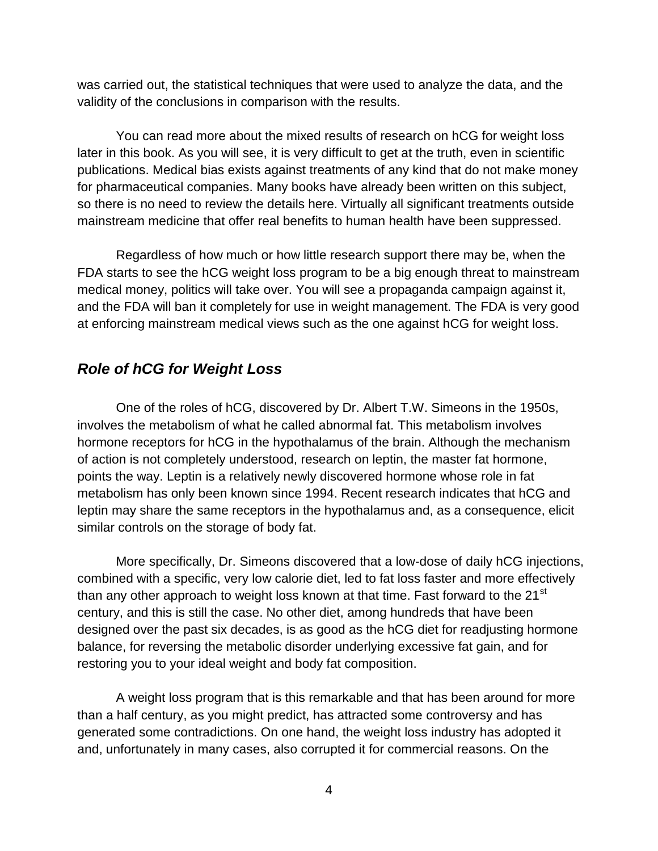was carried out, the statistical techniques that were used to analyze the data, and the validity of the conclusions in comparison with the results.

You can read more about the mixed results of research on hCG for weight loss later in this book. As you will see, it is very difficult to get at the truth, even in scientific publications. Medical bias exists against treatments of any kind that do not make money for pharmaceutical companies. Many books have already been written on this subject, so there is no need to review the details here. Virtually all significant treatments outside mainstream medicine that offer real benefits to human health have been suppressed.

Regardless of how much or how little research support there may be, when the FDA starts to see the hCG weight loss program to be a big enough threat to mainstream medical money, politics will take over. You will see a propaganda campaign against it, and the FDA will ban it completely for use in weight management. The FDA is very good at enforcing mainstream medical views such as the one against hCG for weight loss.

## *Role of hCG for Weight Loss*

One of the roles of hCG, discovered by Dr. Albert T.W. Simeons in the 1950s, involves the metabolism of what he called abnormal fat. This metabolism involves hormone receptors for hCG in the hypothalamus of the brain. Although the mechanism of action is not completely understood, research on leptin, the master fat hormone, points the way. Leptin is a relatively newly discovered hormone whose role in fat metabolism has only been known since 1994. Recent research indicates that hCG and leptin may share the same receptors in the hypothalamus and, as a consequence, elicit similar controls on the storage of body fat.

More specifically, Dr. Simeons discovered that a low-dose of daily hCG injections, combined with a specific, very low calorie diet, led to fat loss faster and more effectively than any other approach to weight loss known at that time. Fast forward to the 21<sup>st</sup> century, and this is still the case. No other diet, among hundreds that have been designed over the past six decades, is as good as the hCG diet for readjusting hormone balance, for reversing the metabolic disorder underlying excessive fat gain, and for restoring you to your ideal weight and body fat composition.

A weight loss program that is this remarkable and that has been around for more than a half century, as you might predict, has attracted some controversy and has generated some contradictions. On one hand, the weight loss industry has adopted it and, unfortunately in many cases, also corrupted it for commercial reasons. On the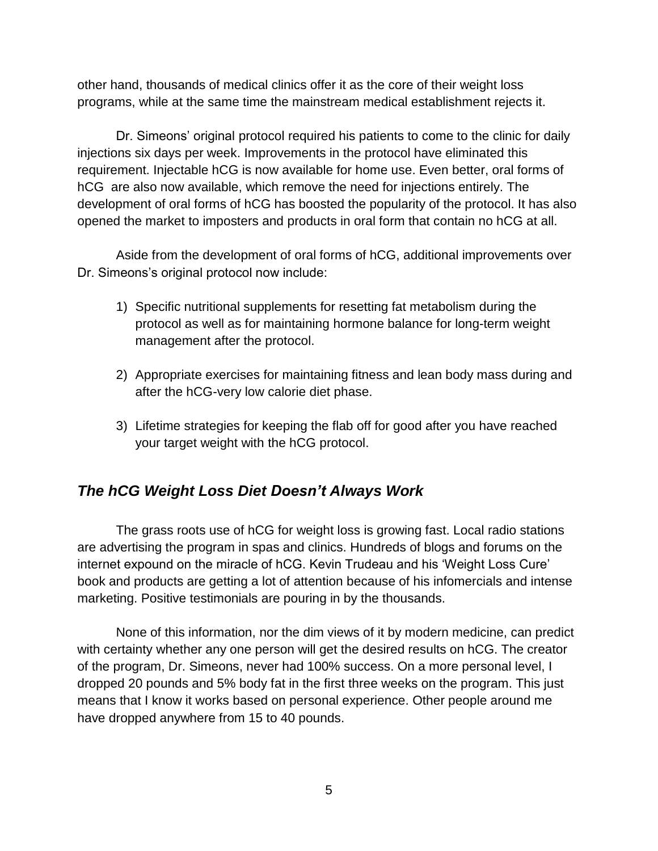other hand, thousands of medical clinics offer it as the core of their weight loss programs, while at the same time the mainstream medical establishment rejects it.

Dr. Simeons' original protocol required his patients to come to the clinic for daily injections six days per week. Improvements in the protocol have eliminated this requirement. Injectable hCG is now available for home use. Even better, oral forms of hCG are also now available, which remove the need for injections entirely. The development of oral forms of hCG has boosted the popularity of the protocol. It has also opened the market to imposters and products in oral form that contain no hCG at all.

Aside from the development of oral forms of hCG, additional improvements over Dr. Simeons's original protocol now include:

- 1) Specific nutritional supplements for resetting fat metabolism during the protocol as well as for maintaining hormone balance for long-term weight management after the protocol.
- 2) Appropriate exercises for maintaining fitness and lean body mass during and after the hCG-very low calorie diet phase.
- 3) Lifetime strategies for keeping the flab off for good after you have reached your target weight with the hCG protocol.

## *The hCG Weight Loss Diet Doesn't Always Work*

The grass roots use of hCG for weight loss is growing fast. Local radio stations are advertising the program in spas and clinics. Hundreds of blogs and forums on the internet expound on the miracle of hCG. Kevin Trudeau and his 'Weight Loss Cure' book and products are getting a lot of attention because of his infomercials and intense marketing. Positive testimonials are pouring in by the thousands.

None of this information, nor the dim views of it by modern medicine, can predict with certainty whether any one person will get the desired results on hCG. The creator of the program, Dr. Simeons, never had 100% success. On a more personal level, I dropped 20 pounds and 5% body fat in the first three weeks on the program. This just means that I know it works based on personal experience. Other people around me have dropped anywhere from 15 to 40 pounds.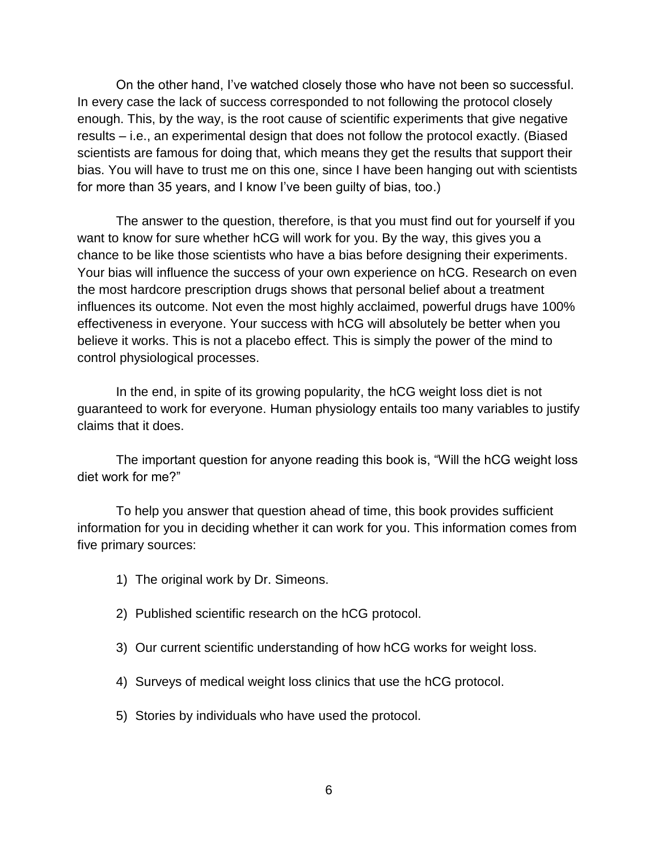On the other hand, I've watched closely those who have not been so successful. In every case the lack of success corresponded to not following the protocol closely enough. This, by the way, is the root cause of scientific experiments that give negative results – i.e., an experimental design that does not follow the protocol exactly. (Biased scientists are famous for doing that, which means they get the results that support their bias. You will have to trust me on this one, since I have been hanging out with scientists for more than 35 years, and I know I've been guilty of bias, too.)

The answer to the question, therefore, is that you must find out for yourself if you want to know for sure whether hCG will work for you. By the way, this gives you a chance to be like those scientists who have a bias before designing their experiments. Your bias will influence the success of your own experience on hCG. Research on even the most hardcore prescription drugs shows that personal belief about a treatment influences its outcome. Not even the most highly acclaimed, powerful drugs have 100% effectiveness in everyone. Your success with hCG will absolutely be better when you believe it works. This is not a placebo effect. This is simply the power of the mind to control physiological processes.

In the end, in spite of its growing popularity, the hCG weight loss diet is not guaranteed to work for everyone. Human physiology entails too many variables to justify claims that it does.

The important question for anyone reading this book is, "Will the hCG weight loss diet work for me?"

To help you answer that question ahead of time, this book provides sufficient information for you in deciding whether it can work for you. This information comes from five primary sources:

- 1) The original work by Dr. Simeons.
- 2) Published scientific research on the hCG protocol.
- 3) Our current scientific understanding of how hCG works for weight loss.
- 4) Surveys of medical weight loss clinics that use the hCG protocol.
- 5) Stories by individuals who have used the protocol.